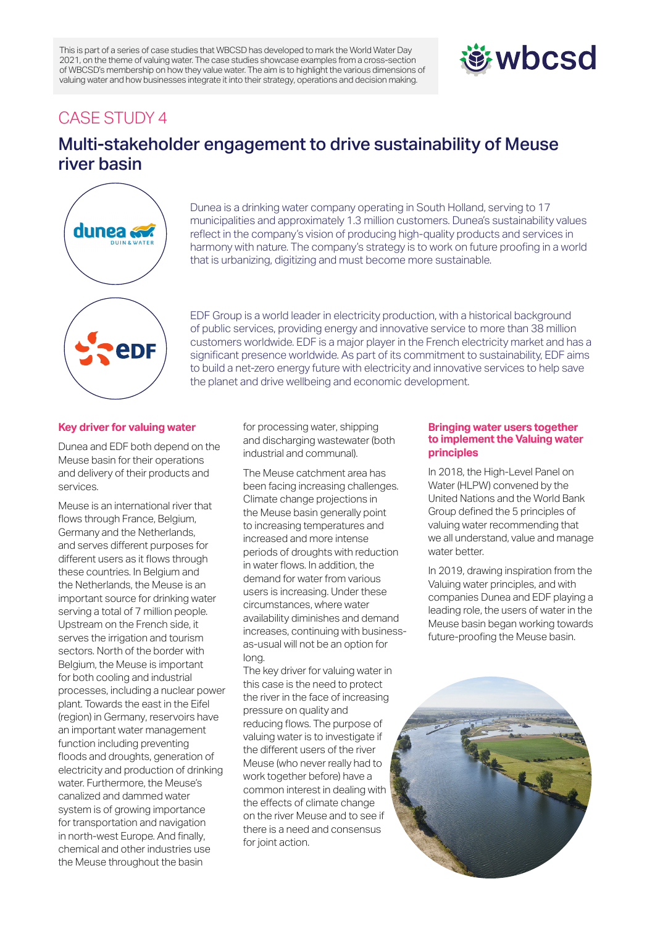This is part of a series of case studies that WBCSD has developed to mark the World Water Day 2021, on the theme of valuing water. The case studies showcase examples from a cross-section of WBCSD's membership on how they value water. The aim is to highlight the various dimensions of valuing water and how businesses integrate it into their strategy, operations and decision making.

# **遊wbcsd**

## CASE STUDY 4

# Multi-stakeholder engagement to drive sustainability of Meuse river basin



Dunea is a drinking water company operating in South Holland, serving to 17 municipalities and approximately 1.3 million customers. Dunea's sustainability values reflect in the company's vision of producing high-quality products and services in harmony with nature. The company's strategy is to work on future proofing in a world that is urbanizing, digitizing and must become more sustainable.

EDF Group is a world leader in electricity production, with a historical background of public services, providing energy and innovative service to more than 38 million customers worldwide. EDF is a major player in the French electricity market and has a significant presence worldwide. As part of its commitment to sustainability, EDF aims to build a net-zero energy future with electricity and innovative services to help save the planet and drive wellbeing and economic development.

### **Key driver for valuing water**

Dunea and EDF both depend on the Meuse basin for their operations and delivery of their products and services.

Meuse is an international river that flows through France, Belgium, Germany and the Netherlands, and serves different purposes for different users as it flows through these countries. In Belgium and the Netherlands, the Meuse is an important source for drinking water serving a total of 7 million people. Upstream on the French side, it serves the irrigation and tourism sectors. North of the border with Belgium, the Meuse is important for both cooling and industrial processes, including a nuclear power plant. Towards the east in the Eifel (region) in Germany, reservoirs have an important water management function including preventing floods and droughts, generation of electricity and production of drinking water. Furthermore, the Meuse's canalized and dammed water system is of growing importance for transportation and navigation in north-west Europe. And finally, chemical and other industries use the Meuse throughout the basin

for processing water, shipping and discharging wastewater (both industrial and communal).

The Meuse catchment area has been facing increasing challenges. Climate change projections in the Meuse basin generally point to increasing temperatures and increased and more intense periods of droughts with reduction in water flows. In addition, the demand for water from various users is increasing. Under these circumstances, where water availability diminishes and demand increases, continuing with businessas-usual will not be an option for long.

The key driver for valuing water in this case is the need to protect the river in the face of increasing pressure on quality and reducing flows. The purpose of valuing water is to investigate if the different users of the river Meuse (who never really had to work together before) have a common interest in dealing with the effects of climate change on the river Meuse and to see if there is a need and consensus for joint action.

### **Bringing water users together to implement the Valuing water principles**

In 2018, the High-Level Panel on Water (HLPW) convened by the United Nations and the World Bank Group defined the 5 principles of valuing water recommending that we all understand, value and manage water better.

In 2019, drawing inspiration from the Valuing water principles, and with companies Dunea and EDF playing a leading role, the users of water in the Meuse basin began working towards future-proofing the Meuse basin.

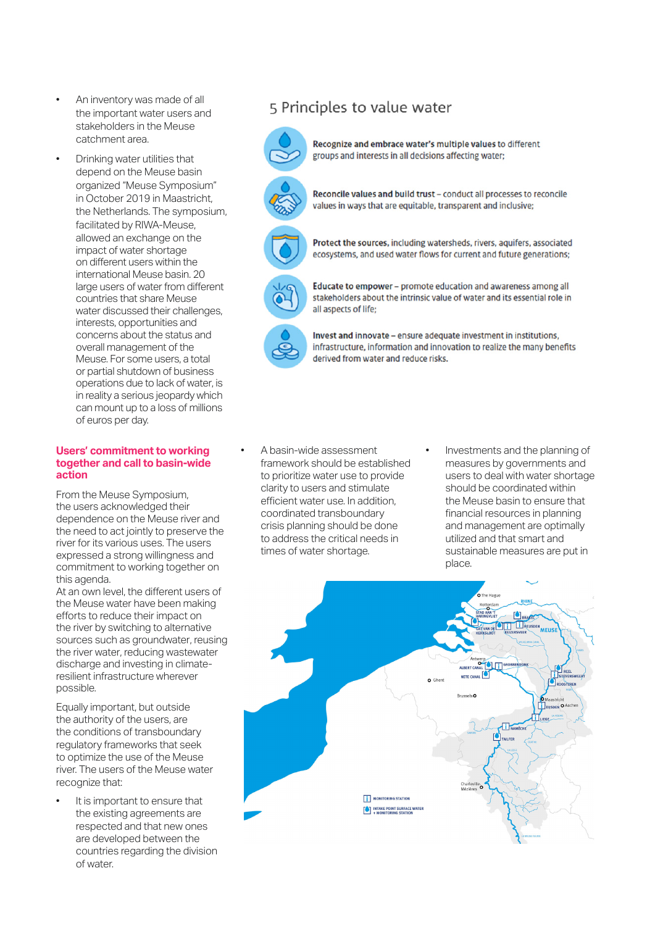- An inventory was made of all the important water users and stakeholders in the Meuse catchment area.
- Drinking water utilities that depend on the Meuse basin organized "Meuse Symposium" in October 2019 in Maastricht, the Netherlands. The symposium, facilitated by RIWA-Meuse, allowed an exchange on the impact of water shortage on different users within the international Meuse basin. 20 large users of water from different countries that share Meuse water discussed their challenges. interests, opportunities and concerns about the status and overall management of the Meuse. For some users, a total or partial shutdown of business operations due to lack of water, is in reality a serious jeopardy which can mount up to a loss of millions of euros per day.

### **Users' commitment to working together and call to basin-wide action**

From the Meuse Symposium, the users acknowledged their dependence on the Meuse river and the need to act jointly to preserve the river for its various uses. The users expressed a strong willingness and commitment to working together on this agenda.

At an own level, the different users of the Meuse water have been making efforts to reduce their impact on the river by switching to alternative sources such as groundwater, reusing the river water, reducing wastewater discharge and investing in climateresilient infrastructure wherever possible.

Equally important, but outside the authority of the users, are the conditions of transboundary regulatory frameworks that seek to optimize the use of the Meuse river. The users of the Meuse water recognize that:

It is important to ensure that the existing agreements are respected and that new ones are developed between the countries regarding the division of water.

### 5 Principles to value water



Recognize and embrace water's multiple values to different groups and interests in all decisions affecting water;



Reconcile values and build trust - conduct all processes to reconcile values in ways that are equitable, transparent and inclusive;



Protect the sources, including watersheds, rivers, aquifers, associated ecosystems, and used water flows for current and future generations;



Educate to empower - promote education and awareness among all stakeholders about the intrinsic value of water and its essential role in all aspects of life:

Invest and innovate - ensure adequate investment in institutions, infrastructure, information and innovation to realize the many benefits derived from water and reduce risks.

- A basin-wide assessment framework should be established to prioritize water use to provide clarity to users and stimulate efficient water use. In addition, coordinated transboundary crisis planning should be done to address the critical needs in times of water shortage.
- Investments and the planning of measures by governments and users to deal with water shortage should be coordinated within the Meuse basin to ensure that financial resources in planning and management are optimally utilized and that smart and sustainable measures are put in place.